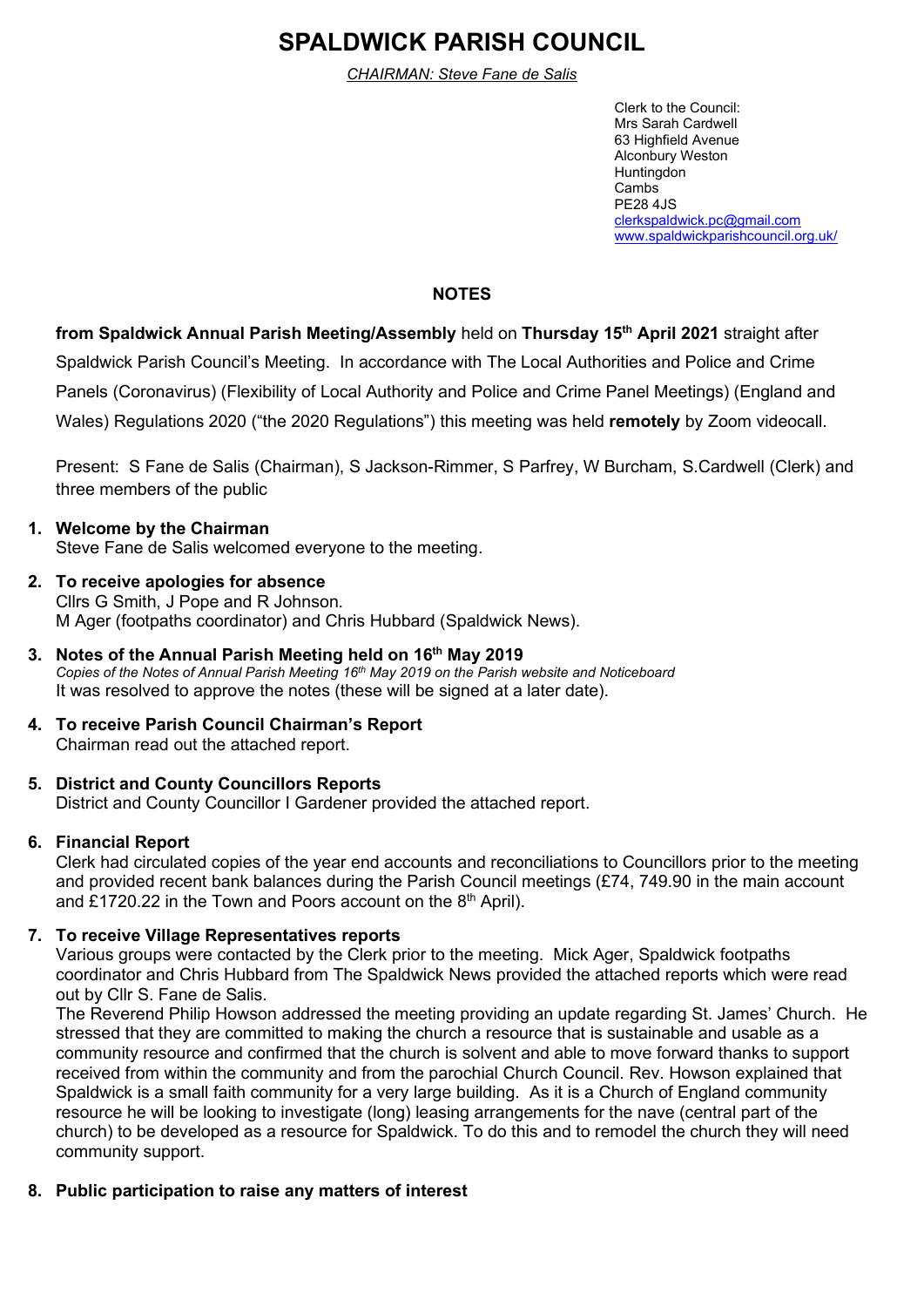# **SPALDWICK PARISH COUNCIL**

*CHAIRMAN: Steve Fane de Salis*

Clerk to the Council: Mrs Sarah Cardwell 63 Highfield Avenue Alconbury Weston Huntingdon Cambs PE28 4JS [clerkspaldwick.pc@gmail.com](mailto:clerkspaldwick.pc@gmail.com) [www.spaldwickparishcouncil.org.uk/](http://www.spaldwickparishcouncil.org.uk/)

# **NOTES**

**from Spaldwick Annual Parish Meeting/Assembly** held on **Thursday 15 th April 2021** straight after Spaldwick Parish Council's Meeting.In accordance with The Local Authorities and Police and Crime Panels (Coronavirus) (Flexibility of Local Authority and Police and Crime Panel Meetings) (England and Wales) Regulations 2020 ("the 2020 Regulations") this meeting was held **remotely** by Zoom videocall.

Present: S Fane de Salis (Chairman), S Jackson-Rimmer, S Parfrey, W Burcham, S.Cardwell (Clerk) and three members of the public

## **1. Welcome by the Chairman**  Steve Fane de Salis welcomed everyone to the meeting.

- **2. To receive apologies for absence** Cllrs G Smith, J Pope and R Johnson. M Ager (footpaths coordinator) and Chris Hubbard (Spaldwick News).
- **3. Notes of the Annual Parish Meeting held on 16 th May 2019** *Copies of the Notes of Annual Parish Meeting 16 th May 2019 on the Parish website and Noticeboard* It was resolved to approve the notes (these will be signed at a later date).
- **4. To receive Parish Council Chairman's Report** Chairman read out the attached report.

# **5. District and County Councillors Reports**

District and County Councillor I Gardener provided the attached report.

## **6. Financial Report**

Clerk had circulated copies of the year end accounts and reconciliations to Councillors prior to the meeting and provided recent bank balances during the Parish Council meetings (£74, 749.90 in the main account and £1720.22 in the Town and Poors account on the  $8<sup>th</sup>$  April).

## **7. To receive Village Representatives reports**

Various groups were contacted by the Clerk prior to the meeting. Mick Ager, Spaldwick footpaths coordinator and Chris Hubbard from The Spaldwick News provided the attached reports which were read out by Cllr S. Fane de Salis.

The Reverend Philip Howson addressed the meeting providing an update regarding St. James' Church. He stressed that they are committed to making the church a resource that is sustainable and usable as a community resource and confirmed that the church is solvent and able to move forward thanks to support received from within the community and from the parochial Church Council. Rev. Howson explained that Spaldwick is a small faith community for a very large building. As it is a Church of England community resource he will be looking to investigate (long) leasing arrangements for the nave (central part of the church) to be developed as a resource for Spaldwick. To do this and to remodel the church they will need community support.

## **8. Public participation to raise any matters of interest**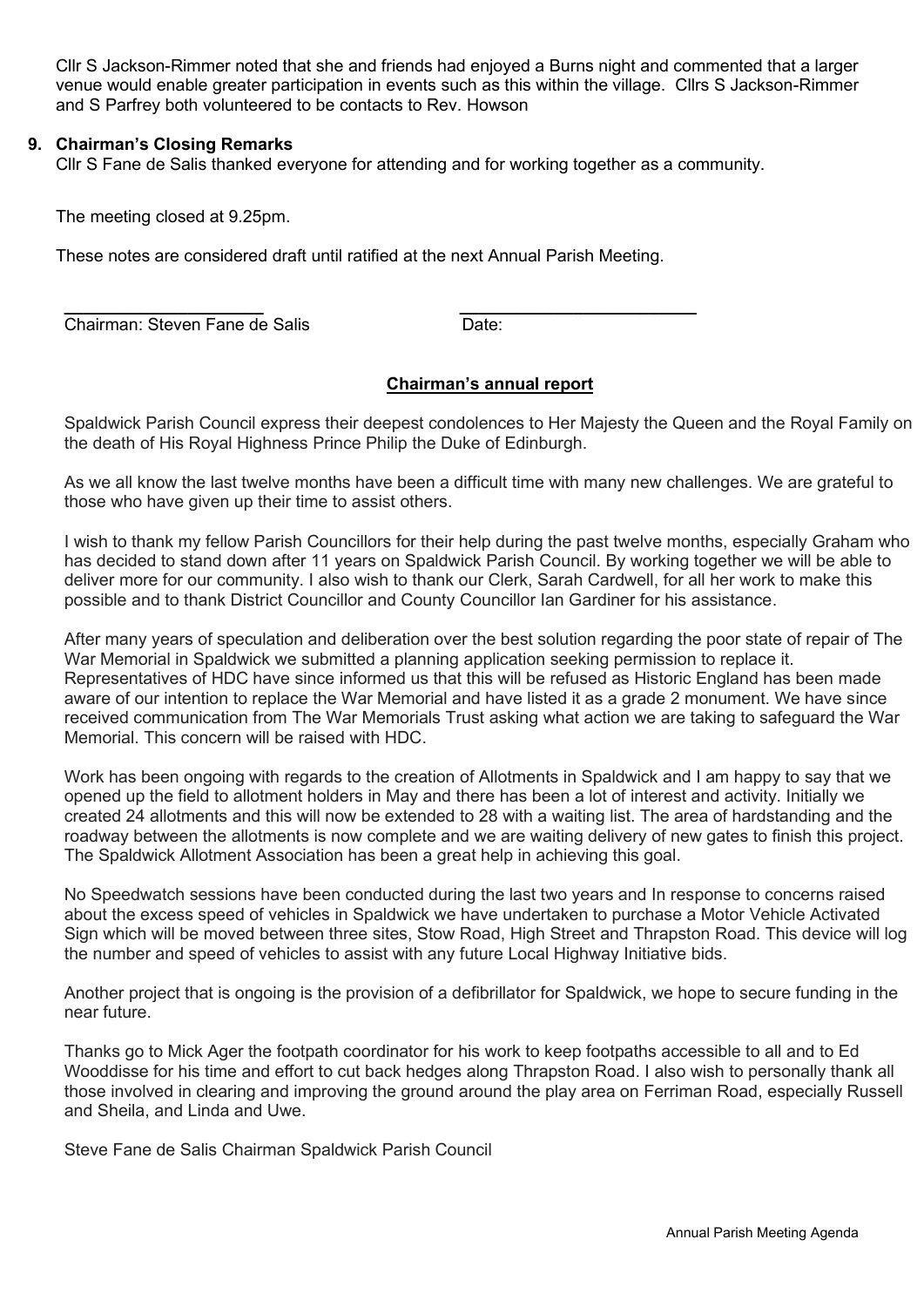Cllr S Jackson-Rimmer noted that she and friends had enjoyed a Burns night and commented that a larger venue would enable greater participation in events such as this within the village. Cllrs S Jackson-Rimmer and S Parfrey both volunteered to be contacts to Rev. Howson

#### **9. Chairman's Closing Remarks**

Cllr S Fane de Salis thanked everyone for attending and for working together as a community.

The meeting closed at 9.25pm.

These notes are considered draft until ratified at the next Annual Parish Meeting.

**\_\_\_\_\_\_\_\_\_\_\_\_\_\_\_\_\_\_\_\_\_ \_\_\_\_\_\_\_\_\_\_\_\_\_\_\_\_\_\_\_\_\_\_\_\_\_ Chairman: Steven Fane de Salis Chairman: Steven Fane de Salis** 

#### **Chairman's annual report**

Spaldwick Parish Council express their deepest condolences to Her Majesty the Queen and the Royal Family on the death of His Royal Highness Prince Philip the Duke of Edinburgh.

As we all know the last twelve months have been a difficult time with many new challenges. We are grateful to those who have given up their time to assist others.

I wish to thank my fellow Parish Councillors for their help during the past twelve months, especially Graham who has decided to stand down after 11 years on Spaldwick Parish Council. By working together we will be able to deliver more for our community. I also wish to thank our Clerk, Sarah Cardwell, for all her work to make this possible and to thank District Councillor and County Councillor Ian Gardiner for his assistance.

After many years of speculation and deliberation over the best solution regarding the poor state of repair of The War Memorial in Spaldwick we submitted a planning application seeking permission to replace it. Representatives of HDC have since informed us that this will be refused as Historic England has been made aware of our intention to replace the War Memorial and have listed it as a grade 2 monument. We have since received communication from The War Memorials Trust asking what action we are taking to safeguard the War Memorial. This concern will be raised with HDC.

Work has been ongoing with regards to the creation of Allotments in Spaldwick and I am happy to say that we opened up the field to allotment holders in May and there has been a lot of interest and activity. Initially we created 24 allotments and this will now be extended to 28 with a waiting list. The area of hardstanding and the roadway between the allotments is now complete and we are waiting delivery of new gates to finish this project. The Spaldwick Allotment Association has been a great help in achieving this goal.

No Speedwatch sessions have been conducted during the last two years and In response to concerns raised about the excess speed of vehicles in Spaldwick we have undertaken to purchase a Motor Vehicle Activated Sign which will be moved between three sites, Stow Road, High Street and Thrapston Road. This device will log the number and speed of vehicles to assist with any future Local Highway Initiative bids.

Another project that is ongoing is the provision of a defibrillator for Spaldwick, we hope to secure funding in the near future.

Thanks go to Mick Ager the footpath coordinator for his work to keep footpaths accessible to all and to Ed Wooddisse for his time and effort to cut back hedges along Thrapston Road. I also wish to personally thank all those involved in clearing and improving the ground around the play area on Ferriman Road, especially Russell and Sheila, and Linda and Uwe.

Steve Fane de Salis Chairman Spaldwick Parish Council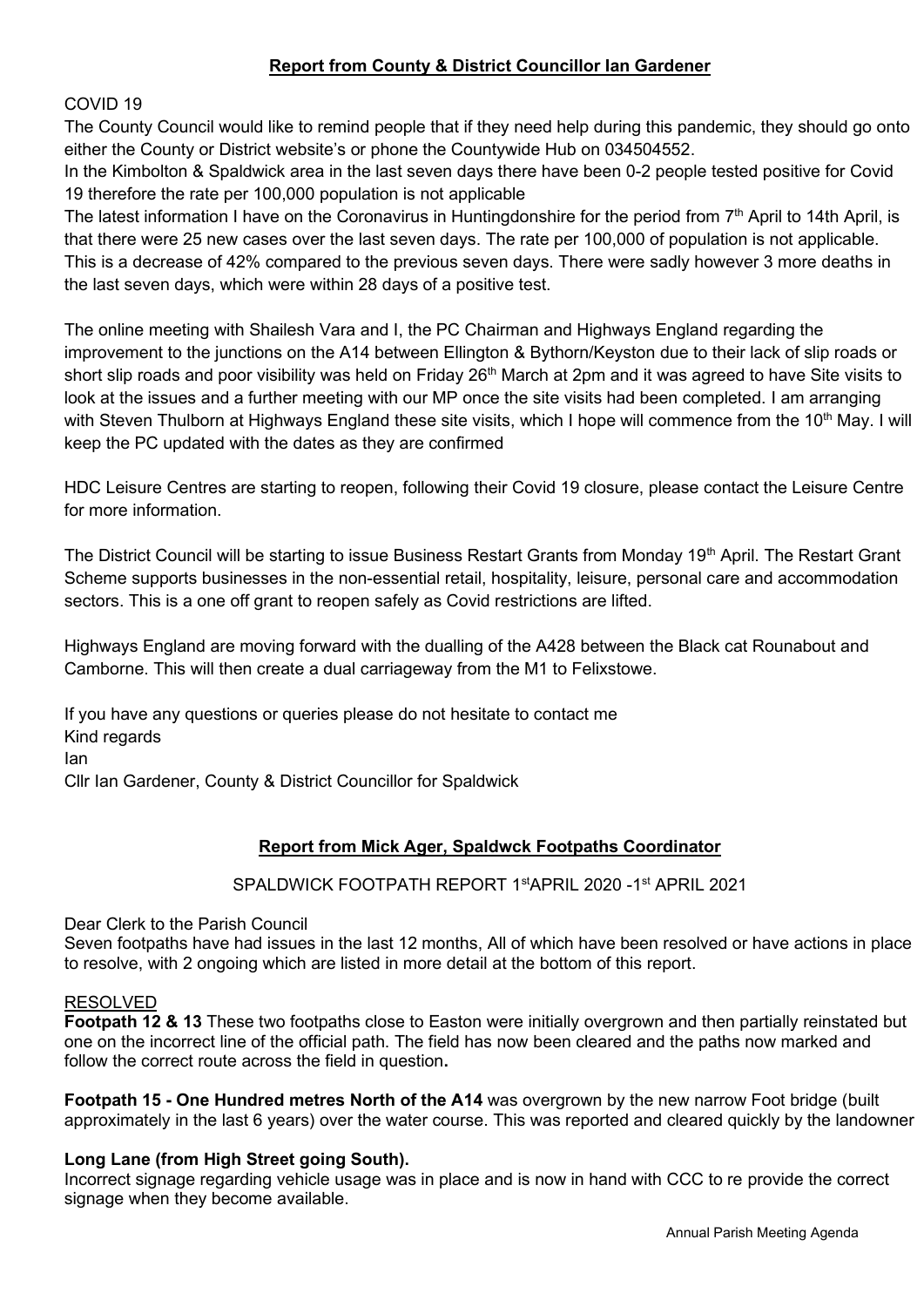# **Report from County & District Councillor Ian Gardener**

COVID 19

The County Council would like to remind people that if they need help during this pandemic, they should go onto either the County or District website's or phone the Countywide Hub on 034504552.

In the Kimbolton & Spaldwick area in the last seven days there have been 0-2 people tested positive for Covid 19 therefore the rate per 100,000 population is not applicable

The latest information I have on the Coronavirus in Huntingdonshire for the period from 7<sup>th</sup> April to 14th April, is that there were 25 new cases over the last seven days. The rate per 100,000 of population is not applicable. This is a decrease of 42% compared to the previous seven days. There were sadly however 3 more deaths in the last seven days, which were within 28 days of a positive test.

The online meeting with Shailesh Vara and I, the PC Chairman and Highways England regarding the improvement to the junctions on the A14 between Ellington & Bythorn/Keyston due to their lack of slip roads or short slip roads and poor visibility was held on Friday 26<sup>th</sup> March at 2pm and it was agreed to have Site visits to look at the issues and a further meeting with our MP once the site visits had been completed. I am arranging with Steven Thulborn at Highways England these site visits, which I hope will commence from the 10<sup>th</sup> May. I will keep the PC updated with the dates as they are confirmed

HDC Leisure Centres are starting to reopen, following their Covid 19 closure, please contact the Leisure Centre for more information.

The District Council will be starting to issue Business Restart Grants from Monday 19<sup>th</sup> April. The Restart Grant Scheme supports businesses in the non-essential retail, hospitality, leisure, personal care and accommodation sectors. This is a one off grant to reopen safely as Covid restrictions are lifted.

Highways England are moving forward with the dualling of the A428 between the Black cat Rounabout and Camborne. This will then create a dual carriageway from the M1 to Felixstowe.

If you have any questions or queries please do not hesitate to contact me Kind regards Ian Cllr Ian Gardener, County & District Councillor for Spaldwick

# **Report from Mick Ager, Spaldwck Footpaths Coordinator**

SPALDWICK FOOTPATH REPORT 1stAPRIL 2020 -1st APRIL 2021

Dear Clerk to the Parish Council

Seven footpaths have had issues in the last 12 months, All of which have been resolved or have actions in place to resolve, with 2 ongoing which are listed in more detail at the bottom of this report.

#### RESOLVED

**Footpath 12 & 13** These two footpaths close to Easton were initially overgrown and then partially reinstated but one on the incorrect line of the official path. The field has now been cleared and the paths now marked and follow the correct route across the field in question**.**

**Footpath 15 - One Hundred metres North of the A14** was overgrown by the new narrow Foot bridge (built approximately in the last 6 years) over the water course. This was reported and cleared quickly by the landowner

## **Long Lane (from High Street going South).**

Incorrect signage regarding vehicle usage was in place and is now in hand with CCC to re provide the correct signage when they become available.